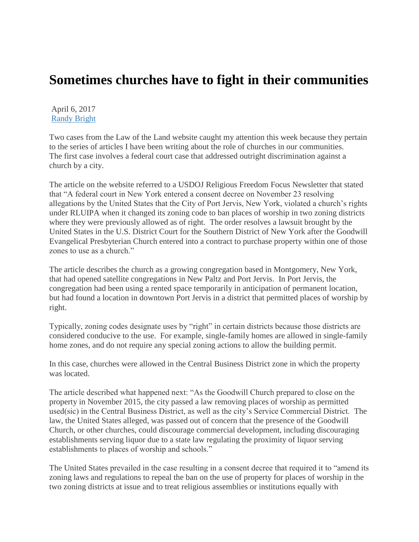## **Sometimes churches have to fight in their communities**

April 6, 2017 [Randy Bright](http://tulsabeacon.com/author/randy-bright/)

Two cases from the Law of the Land website caught my attention this week because they pertain to the series of articles I have been writing about the role of churches in our communities. The first case involves a federal court case that addressed outright discrimination against a church by a city.

The article on the website referred to a USDOJ Religious Freedom Focus Newsletter that stated that "A federal court in New York entered a consent decree on November 23 resolving allegations by the United States that the City of Port Jervis, New York, violated a church's rights under RLUIPA when it changed its zoning code to ban places of worship in two zoning districts where they were previously allowed as of right. The order resolves a lawsuit brought by the United States in the U.S. District Court for the Southern District of New York after the Goodwill Evangelical Presbyterian Church entered into a contract to purchase property within one of those zones to use as a church."

The article describes the church as a growing congregation based in Montgomery, New York, that had opened satellite congregations in New Paltz and Port Jervis. In Port Jervis, the congregation had been using a rented space temporarily in anticipation of permanent location, but had found a location in downtown Port Jervis in a district that permitted places of worship by right.

Typically, zoning codes designate uses by "right" in certain districts because those districts are considered conducive to the use. For example, single-family homes are allowed in single-family home zones, and do not require any special zoning actions to allow the building permit.

In this case, churches were allowed in the Central Business District zone in which the property was located.

The article described what happened next: "As the Goodwill Church prepared to close on the property in November 2015, the city passed a law removing places of worship as permitted used(sic) in the Central Business District, as well as the city's Service Commercial District. The law, the United States alleged, was passed out of concern that the presence of the Goodwill Church, or other churches, could discourage commercial development, including discouraging establishments serving liquor due to a state law regulating the proximity of liquor serving establishments to places of worship and schools."

The United States prevailed in the case resulting in a consent decree that required it to "amend its zoning laws and regulations to repeal the ban on the use of property for places of worship in the two zoning districts at issue and to treat religious assemblies or institutions equally with